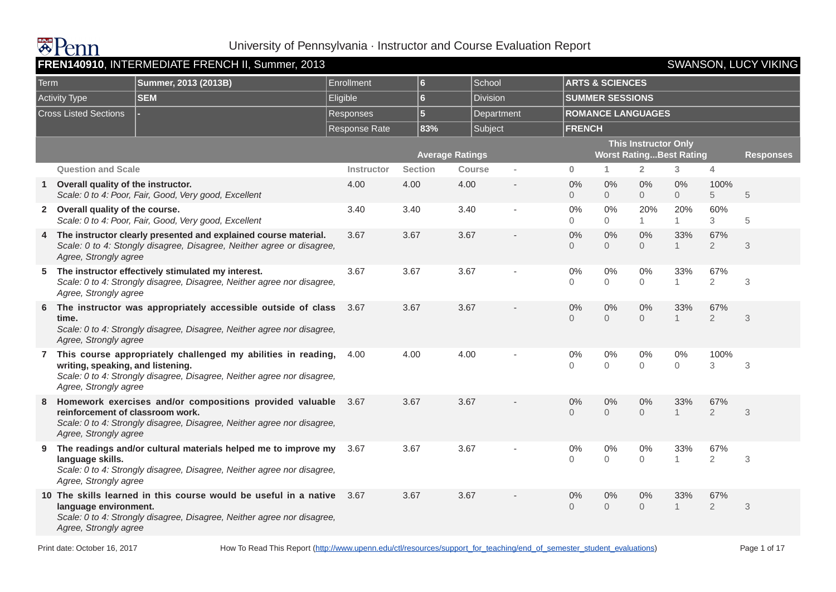

|              | FREN140910, INTERMEDIATE FRENCH II, Summer, 2013<br><b>SWANSON, LUCY VIKING</b><br><b>ARTS &amp; SCIENCES</b> |                                                                                                                                             |                   |                         |                        |            |                      |                        |                                                               |                         |                       |                  |  |  |
|--------------|---------------------------------------------------------------------------------------------------------------|---------------------------------------------------------------------------------------------------------------------------------------------|-------------------|-------------------------|------------------------|------------|----------------------|------------------------|---------------------------------------------------------------|-------------------------|-----------------------|------------------|--|--|
| Term         |                                                                                                               | Summer, 2013 (2013B)                                                                                                                        | Enrollment        | $6\phantom{a}$          | School                 |            |                      |                        |                                                               |                         |                       |                  |  |  |
|              | <b>Activity Type</b>                                                                                          | <b>SEM</b>                                                                                                                                  | Eligible          | $6 \,$                  | <b>Division</b>        |            |                      | <b>SUMMER SESSIONS</b> |                                                               |                         |                       |                  |  |  |
|              | <b>Cross Listed Sections</b>                                                                                  |                                                                                                                                             | <b>Responses</b>  | $\overline{\mathbf{5}}$ |                        | Department |                      |                        | <b>ROMANCE LANGUAGES</b>                                      |                         |                       |                  |  |  |
|              |                                                                                                               |                                                                                                                                             | Response Rate     | 83%                     | Subject                |            | <b>FRENCH</b>        |                        |                                                               |                         |                       |                  |  |  |
|              |                                                                                                               |                                                                                                                                             |                   |                         | <b>Average Ratings</b> |            |                      |                        | <b>This Instructor Only</b><br><b>Worst RatingBest Rating</b> |                         |                       | <b>Responses</b> |  |  |
|              | <b>Question and Scale</b>                                                                                     |                                                                                                                                             | <b>Instructor</b> | <b>Section</b>          | <b>Course</b>          |            | $\bf{0}$             | 1.                     | $\overline{2}$                                                | 3                       | 4                     |                  |  |  |
| $\mathbf{1}$ | Overall quality of the instructor.                                                                            | Scale: 0 to 4: Poor, Fair, Good, Very good, Excellent                                                                                       | 4.00              | 4.00                    | 4.00                   |            | 0%<br>$\Omega$       | 0%<br>$\overline{0}$   | $0\%$<br>$\overline{0}$                                       | $0\%$<br>$\overline{0}$ | 100%<br>5             | 5                |  |  |
|              | 2 Overall quality of the course.                                                                              | Scale: 0 to 4: Poor, Fair, Good, Very good, Excellent                                                                                       | 3.40              | 3.40                    | 3.40                   |            | 0%<br>$\Omega$       | $0\%$<br>$\Omega$      | 20%<br>$\mathbf{1}$                                           | 20%<br>$\mathbf{1}$     | 60%<br>3              | 5                |  |  |
| 4            | Agree, Strongly agree                                                                                         | The instructor clearly presented and explained course material.<br>Scale: 0 to 4: Stongly disagree, Disagree, Neither agree or disagree,    | 3.67              | 3.67                    | 3.67                   |            | 0%<br>$\Omega$       | 0%<br>$\Omega$         | 0%<br>$\Omega$                                                | 33%<br>1                | 67%<br>$\overline{2}$ | 3                |  |  |
| 5            | Agree, Strongly agree                                                                                         | The instructor effectively stimulated my interest.<br>Scale: 0 to 4: Strongly disagree, Disagree, Neither agree nor disagree,               | 3.67              | 3.67                    | 3.67                   |            | 0%<br>$\Omega$       | 0%<br>$\Omega$         | 0%<br>$\Omega$                                                | 33%<br>$\mathbf{1}$     | 67%<br>$\overline{2}$ | 3                |  |  |
| 6            | time.<br>Agree, Strongly agree                                                                                | The instructor was appropriately accessible outside of class<br>Scale: 0 to 4: Strongly disagree, Disagree, Neither agree nor disagree,     | 3.67              | 3.67                    | 3.67                   |            | 0%<br>$\Omega$       | 0%<br>$\mathbf 0$      | 0%<br>$\Omega$                                                | 33%<br>$\mathbf{1}$     | 67%<br>$\overline{2}$ | 3                |  |  |
|              | writing, speaking, and listening.<br>Agree, Strongly agree                                                    | 7 This course appropriately challenged my abilities in reading,<br>Scale: 0 to 4: Strongly disagree, Disagree, Neither agree nor disagree,  | 4.00              | 4.00                    | 4.00                   |            | 0%<br>$\overline{O}$ | 0%<br>$\mathbf 0$      | 0%<br>$\mathbf 0$                                             | $0\%$<br>$\overline{0}$ | 100%<br>3             | $\,3$            |  |  |
| 8            | reinforcement of classroom work.<br>Agree, Strongly agree                                                     | Homework exercises and/or compositions provided valuable 3.67<br>Scale: 0 to 4: Strongly disagree, Disagree, Neither agree nor disagree,    |                   | 3.67                    | 3.67                   |            | 0%<br>$\Omega$       | 0%<br>$\Omega$         | 0%<br>$\overline{0}$                                          | 33%                     | 67%<br>$\overline{2}$ | 3                |  |  |
| 9            | language skills.<br>Agree, Strongly agree                                                                     | The readings and/or cultural materials helped me to improve my<br>Scale: 0 to 4: Strongly disagree, Disagree, Neither agree nor disagree,   | 3.67              | 3.67                    | 3.67                   |            | 0%<br>$\Omega$       | $0\%$<br>$\Omega$      | $0\%$<br>$\overline{0}$                                       | 33%<br>$\mathbf{1}$     | 67%<br>$\overline{2}$ | 3                |  |  |
|              | language environment.<br>Agree, Strongly agree                                                                | 10 The skills learned in this course would be useful in a native<br>Scale: 0 to 4: Strongly disagree, Disagree, Neither agree nor disagree, | 3.67              | 3.67                    | 3.67                   |            | 0%<br>$\Omega$       | 0%<br>$\overline{0}$   | 0%<br>$\overline{0}$                                          | 33%<br>$\mathbf{1}$     | 67%<br>$\overline{2}$ | 3                |  |  |
|              |                                                                                                               |                                                                                                                                             |                   |                         |                        |            |                      |                        |                                                               |                         |                       |                  |  |  |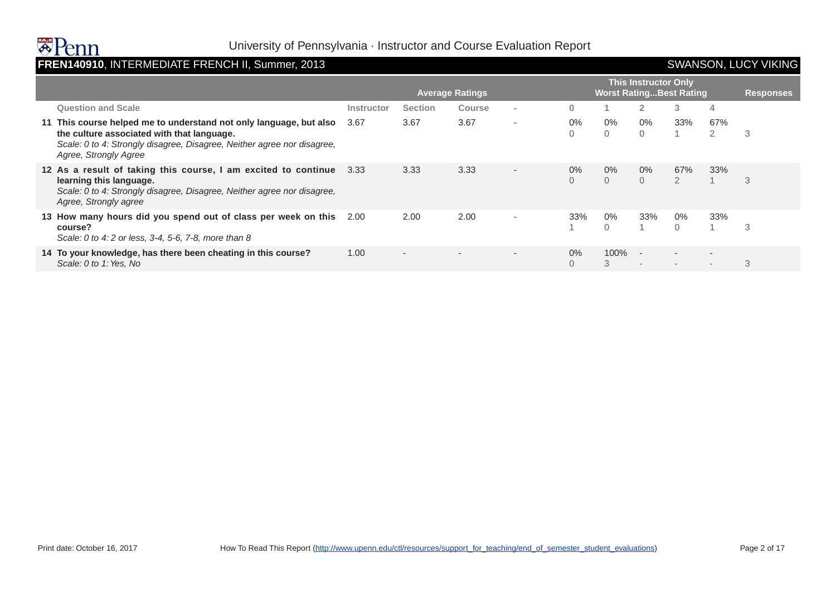### FREN140910, INTERMEDIATE FRENCH II, Summer, 2013 **SWANSON, LUCY VIKING**

| <b>This Instructor Only</b>                                                                                                                                                                                          |            |                          |                          |                          |                   |                                |                          |                       |          |                  |  |
|----------------------------------------------------------------------------------------------------------------------------------------------------------------------------------------------------------------------|------------|--------------------------|--------------------------|--------------------------|-------------------|--------------------------------|--------------------------|-----------------------|----------|------------------|--|
|                                                                                                                                                                                                                      |            |                          | <b>Average Ratings</b>   |                          |                   | <b>Worst RatingBest Rating</b> |                          |                       |          | <b>Responses</b> |  |
| <b>Question and Scale</b>                                                                                                                                                                                            | Instructor | <b>Section</b>           | Course                   |                          | 0                 |                                | $\overline{2}$           | 3                     | 4        |                  |  |
| 11 This course helped me to understand not only language, but also<br>the culture associated with that language.<br>Scale: 0 to 4: Strongly disagree, Disagree, Neither agree nor disagree,<br>Agree, Strongly Agree | 3.67       | 3.67                     | 3.67                     | $\overline{\phantom{a}}$ | $0\%$<br>0        | $0\%$<br>$\Omega$              | $0\%$<br>$\Omega$        | 33%                   | 67%<br>2 | 3                |  |
| 12 As a result of taking this course, I am excited to continue<br>learning this language.<br>Scale: 0 to 4: Strongly disagree, Disagree, Neither agree nor disagree,<br>Agree, Strongly agree                        | 3.33       | 3.33                     | 3.33                     | $\overline{\phantom{a}}$ | $0\%$<br>$\Omega$ | $0\%$<br>$\Omega$              | $0\%$<br>$\Omega$        | 67%<br>$\overline{2}$ | 33%      | 3                |  |
| 13 How many hours did you spend out of class per week on this<br>course?<br>Scale: 0 to 4: 2 or less, 3-4, 5-6, 7-8, more than 8                                                                                     | 2.00       | 2.00                     | 2.00                     | ٠                        | 33%               | $0\%$<br>$\Omega$              | 33%                      | $0\%$<br>$\Omega$     | 33%      | 3                |  |
| 14 To your knowledge, has there been cheating in this course?<br>Scale: 0 to 1: Yes, No                                                                                                                              | 1.00       | $\overline{\phantom{0}}$ | $\overline{\phantom{a}}$ | $\overline{\phantom{a}}$ | $0\%$<br>$\Omega$ | 100%<br>3                      | $\sim$<br>$\overline{a}$ |                       | $\sim$   | 3                |  |
|                                                                                                                                                                                                                      |            |                          |                          |                          |                   |                                |                          |                       |          |                  |  |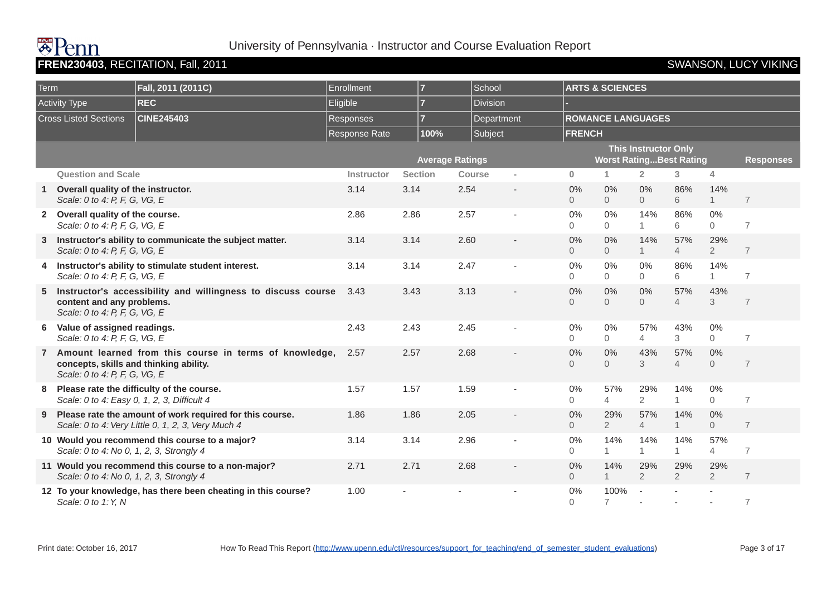# **BAUL**

### University of Pennsylvania · Instructor and Course Evaluation Report

### **FREN230403**, RECITATION, Fall, 2011 **SWANSON, LUCY VIKING**

| Term |                                                                         | Fall, 2011 (2011C)                                                                                             | Enrollment       | $\overline{7}$ | School                 |            |                      | <b>ARTS &amp; SCIENCES</b>     |                             |                       |                         |                  |
|------|-------------------------------------------------------------------------|----------------------------------------------------------------------------------------------------------------|------------------|----------------|------------------------|------------|----------------------|--------------------------------|-----------------------------|-----------------------|-------------------------|------------------|
|      |                                                                         |                                                                                                                |                  |                |                        |            |                      |                                |                             |                       |                         |                  |
|      | <b>Activity Type</b>                                                    | <b>REC</b>                                                                                                     | Eligible         | $\overline{7}$ | <b>Division</b>        |            |                      |                                |                             |                       |                         |                  |
|      | <b>Cross Listed Sections</b>                                            | <b>CINE245403</b>                                                                                              | <b>Responses</b> | $\overline{7}$ |                        | Department |                      | <b>ROMANCE LANGUAGES</b>       |                             |                       |                         |                  |
|      |                                                                         |                                                                                                                | Response Rate    | 100%           | Subject                |            | <b>FRENCH</b>        |                                |                             |                       |                         |                  |
|      |                                                                         |                                                                                                                |                  |                | <b>Average Ratings</b> |            |                      | <b>Worst RatingBest Rating</b> | <b>This Instructor Only</b> |                       |                         | <b>Responses</b> |
|      | <b>Question and Scale</b>                                               |                                                                                                                | Instructor       | <b>Section</b> | <b>Course</b>          |            | $\mathbf{0}$         | 1                              | $\overline{2}$              | $\overline{3}$        | $\overline{4}$          |                  |
| -1   | Overall quality of the instructor.<br>Scale: 0 to 4: P, F, G, VG, E     |                                                                                                                | 3.14             | 3.14           | 2.54                   |            | 0%<br>$\overline{0}$ | 0%<br>$\overline{0}$           | 0%<br>$\overline{O}$        | 86%<br>6              | 14%<br>$\mathbf{1}$     | $\overline{7}$   |
|      | 2 Overall quality of the course.<br>Scale: 0 to 4: P, F, G, VG, E       |                                                                                                                | 2.86             | 2.86           | 2.57                   |            | 0%<br>$\overline{0}$ | 0%<br>$\overline{0}$           | 14%<br>$\mathbf{1}$         | 86%<br>6              | $0\%$<br>$\overline{0}$ | $\overline{7}$   |
|      | Scale: 0 to 4: P, F, G, VG, E                                           | Instructor's ability to communicate the subject matter.                                                        | 3.14             | 3.14           | 2.60                   |            | 0%<br>$\Omega$       | 0%<br>$\overline{0}$           | 14%<br>$\mathbf{1}$         | 57%<br>$\overline{4}$ | 29%<br>$\overline{2}$   | $\overline{7}$   |
| 4    | Scale: 0 to 4: P, F, G, VG, E                                           | Instructor's ability to stimulate student interest.                                                            | 3.14             | 3.14           | 2.47                   |            | 0%<br>$\Omega$       | $0\%$<br>$\Omega$              | 0%<br>$\Omega$              | 86%<br>6              | 14%<br>$\mathbf{1}$     | $\overline{7}$   |
| 5    | content and any problems.<br>Scale: 0 to 4: P, F, G, VG, E              | Instructor's accessibility and willingness to discuss course                                                   | 3.43             | 3.43           | 3.13                   |            | 0%<br>$\Omega$       | 0%<br>$\overline{0}$           | 0%<br>$\Omega$              | 57%<br>$\overline{4}$ | 43%<br>3                | $\overline{7}$   |
| 6    | Value of assigned readings.<br>Scale: 0 to 4: P, F, G, VG, E            |                                                                                                                | 2.43             | 2.43           | 2.45                   |            | 0%<br>$\Omega$       | 0%<br>$\overline{0}$           | 57%<br>$\overline{4}$       | 43%<br>3              | $0\%$<br>$\Omega$       | $\overline{7}$   |
|      | concepts, skills and thinking ability.<br>Scale: 0 to 4: P, F, G, VG, E | Amount learned from this course in terms of knowledge,                                                         | 2.57             | 2.57           | 2.68                   |            | 0%<br>$\Omega$       | 0%<br>$\Omega$                 | 43%<br>3                    | 57%<br>$\overline{4}$ | 0%<br>$\overline{0}$    | $\overline{7}$   |
| 8    | Scale: 0 to 4: Easy 0, 1, 2, 3, Difficult 4                             | Please rate the difficulty of the course.                                                                      | 1.57             | 1.57           | 1.59                   |            | 0%<br>$\Omega$       | 57%<br>$\overline{4}$          | 29%<br>$\overline{2}$       | 14%<br>$\mathbf{1}$   | $0\%$<br>$\Omega$       | $\overline{7}$   |
| 9    |                                                                         | Please rate the amount of work required for this course.<br>Scale: 0 to 4: Very Little 0, 1, 2, 3, Very Much 4 | 1.86             | 1.86           | 2.05                   |            | 0%<br>$\overline{0}$ | 29%<br>$\overline{2}$          | 57%<br>$\overline{4}$       | 14%<br>$\mathbf{1}$   | 0%<br>$\overline{0}$    | $\overline{7}$   |
|      | Scale: 0 to 4: No 0, 1, 2, 3, Strongly 4                                | 10 Would you recommend this course to a major?                                                                 | 3.14             | 3.14           | 2.96                   |            | 0%<br>$\Omega$       | 14%<br>$\mathbf{1}$            | 14%<br>$\mathbf{1}$         | 14%<br>$\mathbf{1}$   | 57%<br>$\overline{4}$   | $\overline{7}$   |
|      | Scale: 0 to 4: No 0, 1, 2, 3, Strongly 4                                | 11 Would you recommend this course to a non-major?                                                             | 2.71             | 2.71           | 2.68                   |            | 0%<br>$\overline{0}$ | 14%<br>1                       | 29%<br>$\overline{2}$       | 29%<br>$\overline{2}$ | 29%<br>$\overline{2}$   | $\overline{7}$   |
|      | Scale: 0 to 1: Y, N                                                     | 12 To your knowledge, has there been cheating in this course?                                                  | 1.00             |                |                        |            | 0%<br>$\Omega$       | 100%<br>$\overline{7}$         | $\overline{\phantom{a}}$    |                       |                         | $\overline{7}$   |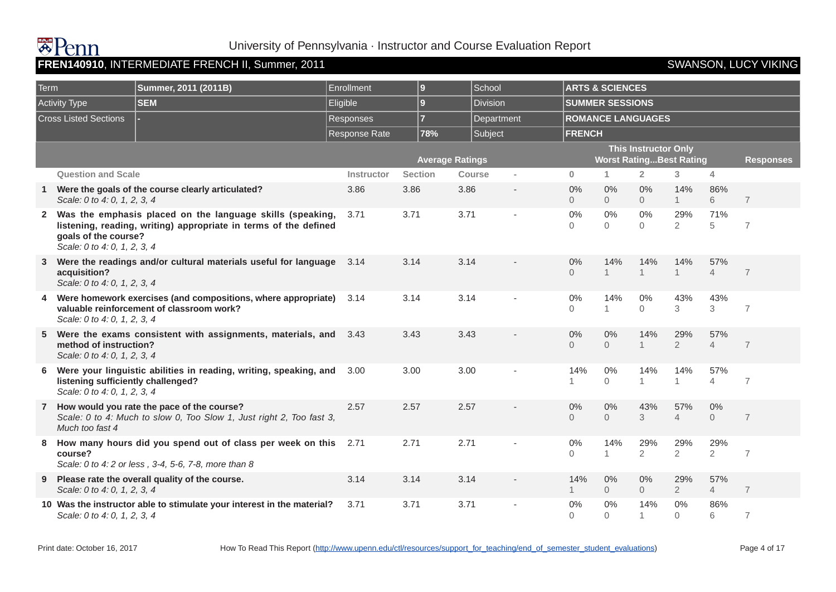### Term **Summer, 2011 (2011B)** Enrollment **9** School **ARTS & SCIENCES** Activity Type **SEM** Eligible **9** Division **SUMMER SESSIONS Cross Listed Sections | Responses | Responses | Responses | Repartment | ROMANCE LANGUAGES** Response Rate **78%** Subject **FRENCH Average Ratings This Instructor Only Worst Rating...Best Rating Responses Question and Scale Instructor Section Course - 0 1 2 3 4 1 Were the goals of the course clearly articulated?**  Scale: 0 to 4: 0, 1, 2, 3, 4 3.86 3.86 3.86 - 0% 0 0% 0 0% 0 14% 1 86% 6 7 **2 Was the emphasis placed on the language skills (speaking, listening, reading, writing) appropriate in terms of the defined goals of the course?**  Scale: 0 to 4: 0, 1, 2, 3, 4 3.71 3.71 3.71 - 0%  $\Omega$ 0%  $\Omega$ 0%  $\Omega$ 29%  $\mathfrak{D}$ 71% 5 7 **3 Were the readings and/or cultural materials useful for language acquisition?**  Scale: 0 to 4: 0, 1, 2, 3, 4 3.14 3.14 3.14 - 0%  $\Omega$ 14% 1 14% 1 14% 1 57% 4 7 **4 Were homework exercises (and compositions, where appropriate) valuable reinforcement of classroom work?**  Scale: 0 to 4: 0, 1, 2, 3, 4 3.14 3.14 3.14 - 0%  $\Omega$ 14% 1 0%  $\Omega$ 43% 3 43% 3 7 **5 Were the exams consistent with assignments, materials, and method of instruction?**  Scale: 0 to 4: 0, 1, 2, 3, 4 3.43 3.43 3.43 - 0%  $\Omega$ 0%  $\Omega$ 14% 1 29%  $\mathfrak{D}$ 57% 4 7 **6 Were your linguistic abilities in reading, writing, speaking, and listening sufficiently challenged?**  Scale: 0 to 4: 0, 1, 2, 3, 4 3.00 3.00 3.00 - 14% 1 0% 0 14% 1 14% 1 57% 4 7 **7 How would you rate the pace of the course?**  Scale: 0 to 4: Much to slow 0, Too Slow 1, Just right 2, Too fast 3, Much too fast 4 2.57 2.57 2.57 - 0%  $\Omega$ 0%  $\Omega$ 43% 3 57% 4 0% 0 7 **8 How many hours did you spend out of class per week on this course?**  Scale: 0 to 4: 2 or less , 3-4, 5-6, 7-8, more than 8 2.71 2.71 2.71 - 0%  $\Omega$ 14% 1 29%  $\mathfrak{D}$ 29%  $\mathfrak{p}$ 29% 2 7 **9 Please rate the overall quality of the course.**  Scale: 0 to 4: 0, 1, 2, 3, 4 3.14 3.14 3.14 - 14% 1 0%  $\Omega$ 0%  $\Omega$ 29% 2 57% 4 7 **10 Was the instructor able to stimulate your interest in the material?**  Scale: 0 to 4: 0, 1, 2, 3, 4 3.71 3.71 3.71 - 0%  $\Omega$ 0% 0 14% 1 0%  $\Omega$ 86% 6 7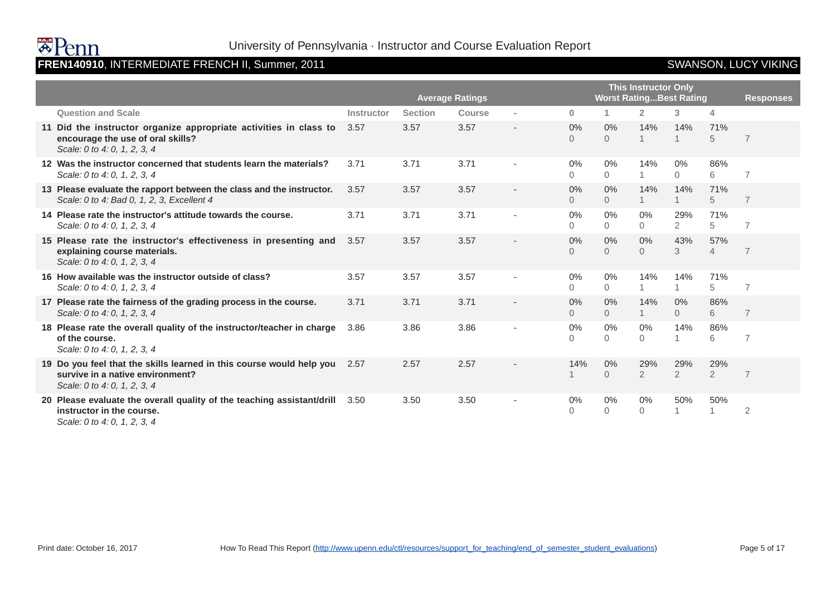

# **FREN140910**, INTERMEDIATE FRENCH II, Summer, 2011 SWANSON, LUCY VIKING

|                                                                                                                                          | <b>Average Ratings</b> |                |               |                          |                |                         | <b>This Instructor Only</b> | <b>Worst RatingBest Rating</b> |                       | <b>Responses</b> |
|------------------------------------------------------------------------------------------------------------------------------------------|------------------------|----------------|---------------|--------------------------|----------------|-------------------------|-----------------------------|--------------------------------|-----------------------|------------------|
| <b>Question and Scale</b>                                                                                                                | Instructor             | <b>Section</b> | <b>Course</b> | $\sim$                   | $\mathbf{0}$   |                         | $\overline{2}$              | 3                              | 4                     |                  |
| 11 Did the instructor organize appropriate activities in class to<br>encourage the use of oral skills?<br>Scale: 0 to 4: 0, 1, 2, 3, 4   | 3.57                   | 3.57           | 3.57          |                          | 0%<br>$\Omega$ | $0\%$<br>$\Omega$       | 14%                         | 14%                            | 71%<br>5              | $\overline{7}$   |
| 12 Was the instructor concerned that students learn the materials?<br>Scale: 0 to 4: 0, 1, 2, 3, 4                                       | 3.71                   | 3.71           | 3.71          |                          | 0%<br>$\Omega$ | $0\%$<br>$\Omega$       | 14%<br>$\overline{1}$       | 0%<br>$\Omega$                 | 86%<br>6              | $\overline{7}$   |
| 13 Please evaluate the rapport between the class and the instructor.<br>Scale: 0 to 4: Bad 0, 1, 2, 3, Excellent 4                       | 3.57                   | 3.57           | 3.57          |                          | 0%<br>$\Omega$ | 0%<br>$\overline{0}$    | 14%<br>1                    | 14%                            | 71%<br>5              | $\overline{7}$   |
| 14 Please rate the instructor's attitude towards the course.<br>Scale: 0 to 4: 0, 1, 2, 3, 4                                             | 3.71                   | 3.71           | 3.71          | $\overline{\phantom{a}}$ | 0%<br>0        | 0%<br>$\Omega$          | $0\%$<br>$\Omega$           | 29%<br>$\overline{2}$          | 71%<br>5              | $\overline{7}$   |
| 15 Please rate the instructor's effectiveness in presenting and<br>explaining course materials.<br>Scale: 0 to 4: 0, 1, 2, 3, 4          | 3.57                   | 3.57           | 3.57          |                          | 0%<br>0        | 0%<br>$\Omega$          | 0%<br>$\Omega$              | 43%<br>3                       | 57%<br>$\overline{4}$ | $\overline{7}$   |
| 16 How available was the instructor outside of class?<br>Scale: 0 to 4: 0, 1, 2, 3, 4                                                    | 3.57                   | 3.57           | 3.57          | $\sim$                   | 0%<br>$\Omega$ | 0%<br>$\overline{0}$    | 14%                         | 14%                            | 71%<br>5              | $\overline{7}$   |
| 17 Please rate the fairness of the grading process in the course.<br>Scale: 0 to 4: 0, 1, 2, 3, 4                                        | 3.71                   | 3.71           | 3.71          |                          | 0%<br>$\Omega$ | $0\%$<br>$\Omega$       | 14%<br>$\mathbf{1}$         | 0%<br>$\Omega$                 | 86%<br>6              | $\overline{7}$   |
| 18 Please rate the overall quality of the instructor/teacher in charge<br>of the course.<br>Scale: 0 to 4: 0, 1, 2, 3, 4                 | 3.86                   | 3.86           | 3.86          | ٠                        | 0%<br>0        | 0%<br>$\overline{0}$    | 0%<br>$\overline{0}$        | 14%                            | 86%<br>6              | $\overline{7}$   |
| 19 Do you feel that the skills learned in this course would help you<br>survive in a native environment?<br>Scale: 0 to 4: 0, 1, 2, 3, 4 | 2.57                   | 2.57           | 2.57          |                          | 14%            | $0\%$<br>$\overline{0}$ | 29%<br>$\overline{2}$       | 29%<br>$\overline{2}$          | 29%<br>$\overline{2}$ | $\overline{7}$   |
| 20 Please evaluate the overall quality of the teaching assistant/drill<br>instructor in the course.<br>Scale: 0 to 4: 0, 1, 2, 3, 4      | 3.50                   | 3.50           | 3.50          |                          | 0%<br>0        | $0\%$<br>0              | $0\%$<br>$\mathbf{O}$       | 50%                            | 50%<br>1              | $\overline{2}$   |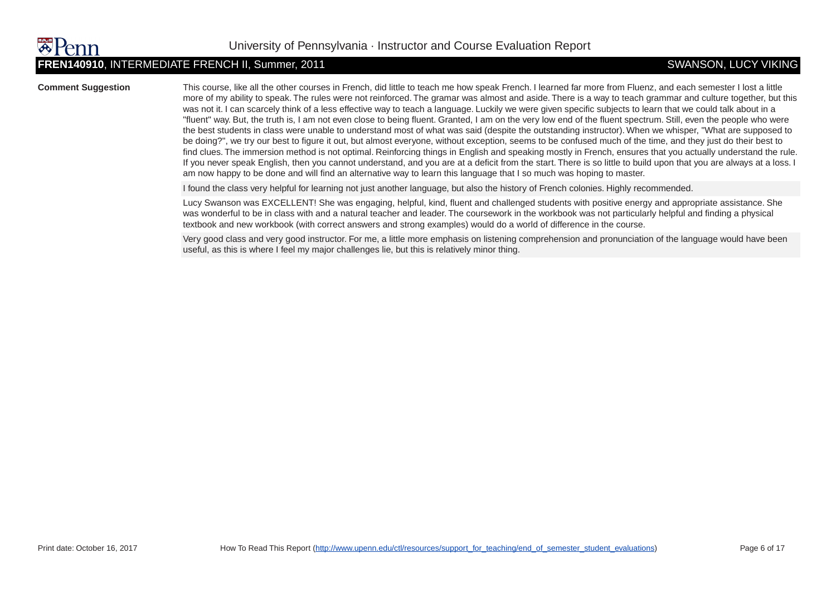### **FREN140910**, INTERMEDIATE FRENCH II, Summer, 2011 SWANSON, LUCY VIKING

**Comment Suggestion** This course, like all the other courses in French, did little to teach me how speak French. I learned far more from Fluenz, and each semester I lost a little more of my ability to speak. The rules were not reinforced. The gramar was almost and aside. There is a way to teach grammar and culture together, but this was not it. I can scarcely think of a less effective way to teach a language. Luckily we were given specific subjects to learn that we could talk about in a "fluent" way. But, the truth is, I am not even close to being fluent. Granted, I am on the very low end of the fluent spectrum. Still, even the people who were the best students in class were unable to understand most of what was said (despite the outstanding instructor). When we whisper, "What are supposed to be doing?", we try our best to figure it out, but almost everyone, without exception, seems to be confused much of the time, and they just do their best to find clues. The immersion method is not optimal. Reinforcing things in English and speaking mostly in French, ensures that you actually understand the rule. If you never speak English, then you cannot understand, and you are at a deficit from the start. There is so little to build upon that you are always at a loss. I am now happy to be done and will find an alternative way to learn this language that I so much was hoping to master.

I found the class very helpful for learning not just another language, but also the history of French colonies. Highly recommended.

Lucy Swanson was EXCELLENT! She was engaging, helpful, kind, fluent and challenged students with positive energy and appropriate assistance. She was wonderful to be in class with and a natural teacher and leader. The coursework in the workbook was not particularly helpful and finding a physical textbook and new workbook (with correct answers and strong examples) would do a world of difference in the course.

Very good class and very good instructor. For me, a little more emphasis on listening comprehension and pronunciation of the language would have been useful, as this is where I feel my major challenges lie, but this is relatively minor thing.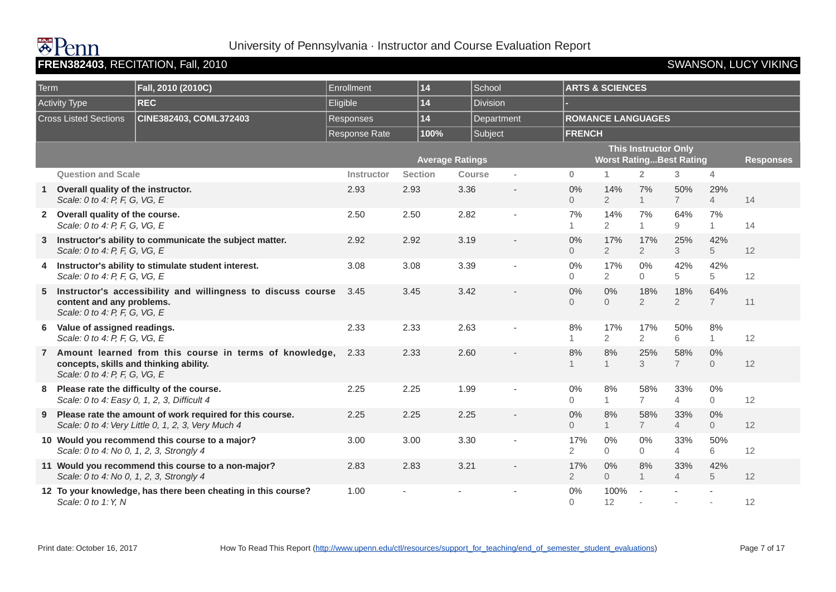# **HAVE**

### University of Pennsylvania · Instructor and Course Evaluation Report

### **FREN382403**, RECITATION, Fall, 2010 **SWANSON, LUCY VIKING**

| Term |                                                                         | Fall, 2010 (2010C)                                                                                             | Enrollment           | 14             |                        | School     |                         | <b>ARTS &amp; SCIENCES</b>     |                             |                        |                         |                  |
|------|-------------------------------------------------------------------------|----------------------------------------------------------------------------------------------------------------|----------------------|----------------|------------------------|------------|-------------------------|--------------------------------|-----------------------------|------------------------|-------------------------|------------------|
|      | Activity Type                                                           | <b>REC</b>                                                                                                     | Eligible             | 14             |                        | Division   |                         |                                |                             |                        |                         |                  |
|      | <b>Cross Listed Sections</b>                                            | CINE382403, COML372403                                                                                         | Responses            | 14             |                        | Department |                         | <b>ROMANCE LANGUAGES</b>       |                             |                        |                         |                  |
|      |                                                                         |                                                                                                                | <b>Response Rate</b> | 100%           |                        | Subject    | <b>FRENCH</b>           |                                |                             |                        |                         |                  |
|      |                                                                         |                                                                                                                |                      |                | <b>Average Ratings</b> |            |                         | <b>Worst RatingBest Rating</b> | <b>This Instructor Only</b> |                        |                         | <b>Responses</b> |
|      | <b>Question and Scale</b>                                               |                                                                                                                | Instructor           | <b>Section</b> | <b>Course</b>          | $\sim$     | $\mathbf{0}$            | 1                              | $\overline{2}$              | 3                      | 4                       |                  |
|      | Overall quality of the instructor.<br>Scale: 0 to 4: P, F, G, VG, E     |                                                                                                                | 2.93                 | 2.93           | 3.36                   |            | 0%<br>$\overline{0}$    | 14%<br>$\overline{2}$          | 7%<br>$\mathbf{1}$          | 50%<br>$7\overline{ }$ | 29%<br>$\overline{4}$   | 14               |
|      | 2 Overall quality of the course.<br>Scale: 0 to 4: P, F, G, VG, E       |                                                                                                                | 2.50                 | 2.50           | 2.82                   |            | 7%<br>1                 | 14%<br>$\overline{2}$          | 7%<br>$\mathbf{1}$          | 64%<br>9               | 7%<br>$\mathbf{1}$      | 14               |
| 3    | Scale: 0 to 4: P, F, G, VG, E                                           | Instructor's ability to communicate the subject matter.                                                        | 2.92                 | 2.92           | 3.19                   |            | $0\%$<br>$\overline{0}$ | 17%<br>$\overline{2}$          | 17%<br>$\overline{2}$       | 25%<br>3               | 42%<br>5                | 12               |
|      | Scale: 0 to 4: P, F, G, VG, E                                           | 4 Instructor's ability to stimulate student interest.                                                          | 3.08                 | 3.08           | 3.39                   |            | 0%<br>$\Omega$          | 17%<br>$\overline{2}$          | $0\%$<br>$\Omega$           | 42%<br>5               | 42%<br>5                | 12               |
| 5    | content and any problems.<br>Scale: 0 to 4: P, F, G, VG, E              | Instructor's accessibility and willingness to discuss course                                                   | 3.45                 | 3.45           | 3.42                   |            | $0\%$<br>$\Omega$       | 0%<br>$\Omega$                 | 18%<br>$\overline{2}$       | 18%<br>$\overline{2}$  | 64%<br>$\overline{7}$   | 11               |
| 6    | Value of assigned readings.<br>Scale: 0 to 4: P, F, G, VG, E            |                                                                                                                | 2.33                 | 2.33           | 2.63                   |            | 8%<br>1                 | 17%<br>$\overline{2}$          | 17%<br>$\overline{2}$       | 50%<br>6               | 8%<br>$\mathbf{1}$      | 12               |
|      | concepts, skills and thinking ability.<br>Scale: 0 to 4: P, F, G, VG, E | Amount learned from this course in terms of knowledge,                                                         | 2.33                 | 2.33           | 2.60                   |            | 8%<br>$\mathbf{1}$      | 8%<br>$\mathbf{1}$             | 25%<br>3                    | 58%<br>$\overline{7}$  | $0\%$<br>$\overline{0}$ | 12               |
| 8    | Scale: 0 to 4: Easy 0, 1, 2, 3, Difficult 4                             | Please rate the difficulty of the course.                                                                      | 2.25                 | 2.25           | 1.99                   |            | 0%<br>$\Omega$          | 8%<br>1                        | 58%<br>$\overline{7}$       | 33%<br>$\overline{4}$  | $0\%$<br>$\Omega$       | 12               |
| 9    |                                                                         | Please rate the amount of work required for this course.<br>Scale: 0 to 4: Very Little 0, 1, 2, 3, Very Much 4 | 2.25                 | 2.25           | 2.25                   |            | 0%<br>$\overline{0}$    | 8%<br>1                        | 58%<br>$\overline{7}$       | 33%<br>$\overline{4}$  | 0%<br>$\Omega$          | 12               |
|      | Scale: 0 to 4: No 0, 1, 2, 3, Strongly 4                                | 10 Would you recommend this course to a major?                                                                 | 3.00                 | 3.00           | 3.30                   |            | 17%<br>$\overline{2}$   | 0%<br>$\overline{0}$           | 0%<br>$\Omega$              | 33%<br>$\overline{4}$  | 50%<br>6                | 12               |
|      | Scale: 0 to 4: No 0, 1, 2, 3, Strongly 4                                | 11 Would you recommend this course to a non-major?                                                             | 2.83                 | 2.83           | 3.21                   |            | 17%<br>$\overline{2}$   | 0%<br>$\overline{0}$           | 8%<br>$\mathbf{1}$          | 33%<br>$\overline{4}$  | 42%<br>5                | 12               |
|      | Scale: 0 to 1: Y, N                                                     | 12 To your knowledge, has there been cheating in this course?                                                  | 1.00                 |                |                        |            | 0%<br>$\Omega$          | 100%<br>12                     | $\overline{\phantom{a}}$    |                        |                         | 12               |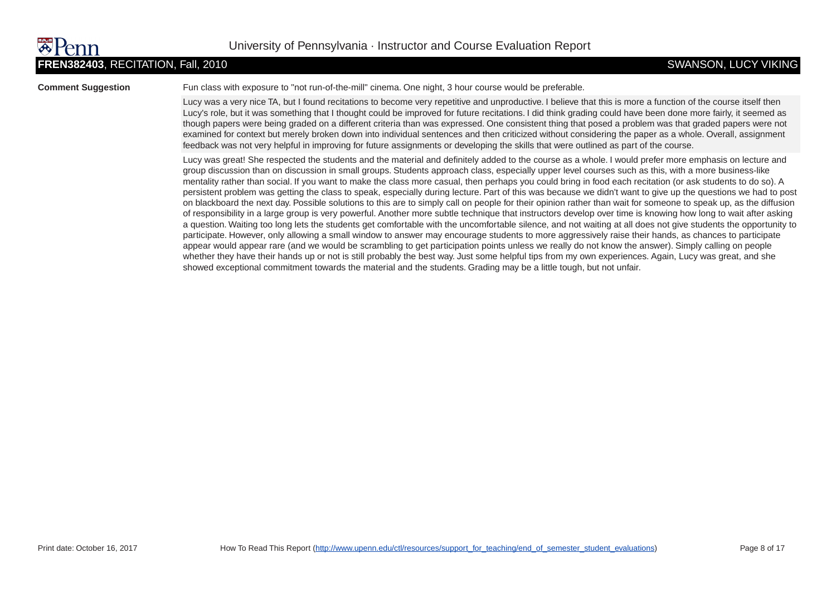**Comment Suggestion** Fun class with exposure to "not run-of-the-mill" cinema. One night, 3 hour course would be preferable.

Lucy was a very nice TA, but I found recitations to become very repetitive and unproductive. I believe that this is more a function of the course itself then Lucy's role, but it was something that I thought could be improved for future recitations. I did think grading could have been done more fairly, it seemed as though papers were being graded on a different criteria than was expressed. One consistent thing that posed a problem was that graded papers were not examined for context but merely broken down into individual sentences and then criticized without considering the paper as a whole. Overall, assignment feedback was not very helpful in improving for future assignments or developing the skills that were outlined as part of the course.

Lucy was great! She respected the students and the material and definitely added to the course as a whole. I would prefer more emphasis on lecture and group discussion than on discussion in small groups. Students approach class, especially upper level courses such as this, with a more business-like mentality rather than social. If you want to make the class more casual, then perhaps you could bring in food each recitation (or ask students to do so). A persistent problem was getting the class to speak, especially during lecture. Part of this was because we didn't want to give up the questions we had to post on blackboard the next day. Possible solutions to this are to simply call on people for their opinion rather than wait for someone to speak up, as the diffusion of responsibility in a large group is very powerful. Another more subtle technique that instructors develop over time is knowing how long to wait after asking a question. Waiting too long lets the students get comfortable with the uncomfortable silence, and not waiting at all does not give students the opportunity to participate. However, only allowing a small window to answer may encourage students to more aggressively raise their hands, as chances to participate appear would appear rare (and we would be scrambling to get participation points unless we really do not know the answer). Simply calling on people whether they have their hands up or not is still probably the best way. Just some helpful tips from my own experiences. Again, Lucy was great, and she showed exceptional commitment towards the material and the students. Grading may be a little tough, but not unfair.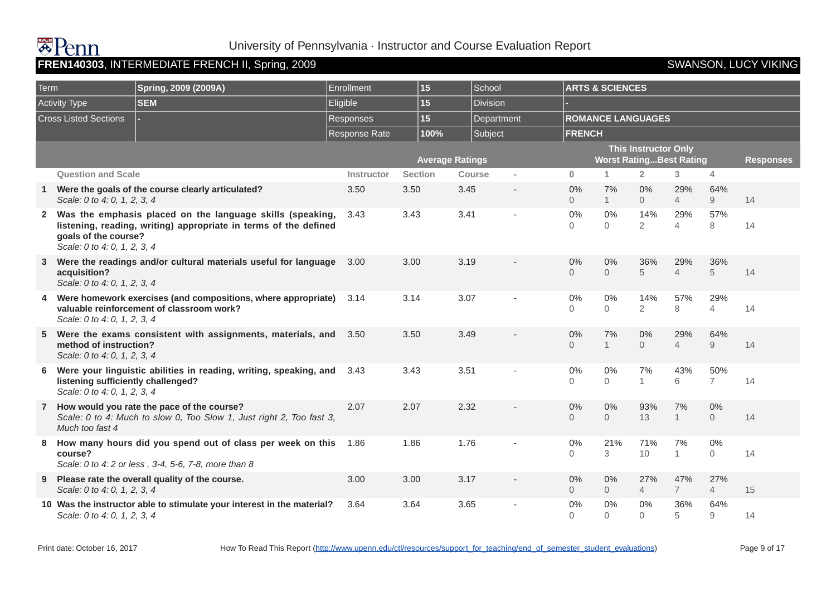|      |                                                                    | FREN140303, INTERMEDIATE FRENCH II, Spring, 2009                                                                                |                   |                |                        |                          |                      |                            |                                                               |                       |                         | <b>SWANSON, LUCY VIKING</b> |
|------|--------------------------------------------------------------------|---------------------------------------------------------------------------------------------------------------------------------|-------------------|----------------|------------------------|--------------------------|----------------------|----------------------------|---------------------------------------------------------------|-----------------------|-------------------------|-----------------------------|
| Term |                                                                    | Spring, 2009 (2009A)                                                                                                            | Enrollment        | 15             | School                 |                          |                      | <b>ARTS &amp; SCIENCES</b> |                                                               |                       |                         |                             |
|      | <b>Activity Type</b>                                               | <b>SEM</b>                                                                                                                      | Eligible          | 15             | <b>Division</b>        |                          |                      |                            |                                                               |                       |                         |                             |
|      | <b>Cross Listed Sections</b>                                       |                                                                                                                                 | Responses         | 15             |                        | Department               |                      |                            | <b>ROMANCE LANGUAGES</b>                                      |                       |                         |                             |
|      |                                                                    |                                                                                                                                 | Response Rate     | 100%           | Subject                |                          | <b>FRENCH</b>        |                            |                                                               |                       |                         |                             |
|      |                                                                    |                                                                                                                                 |                   |                | <b>Average Ratings</b> |                          |                      |                            | <b>This Instructor Only</b><br><b>Worst RatingBest Rating</b> |                       |                         | <b>Responses</b>            |
|      | <b>Question and Scale</b>                                          |                                                                                                                                 | <b>Instructor</b> | <b>Section</b> | <b>Course</b>          | $\sim$                   | $\bf{0}$             | $\mathbf{1}$               | $\overline{2}$                                                | 3 <sup>1</sup>        | $\overline{4}$          |                             |
|      | Scale: 0 to 4: 0, 1, 2, 3, 4                                       | Were the goals of the course clearly articulated?                                                                               | 3.50              | 3.50           | 3.45                   | $\overline{\phantom{a}}$ | 0%<br>$\Omega$       | 7%<br>1                    | 0%<br>$\Omega$                                                | 29%<br>$\overline{4}$ | 64%<br>9                | 14                          |
|      | goals of the course?<br>Scale: 0 to 4: 0, 1, 2, 3, 4               | 2 Was the emphasis placed on the language skills (speaking,<br>listening, reading, writing) appropriate in terms of the defined | 3.43              | 3.43           | 3.41                   | ä,                       | 0%<br>$\Omega$       | 0%<br>$\Omega$             | 14%<br>$\overline{2}$                                         | 29%<br>$\overline{4}$ | 57%<br>8                | 14                          |
| 3    | acquisition?<br>Scale: 0 to 4: 0, 1, 2, 3, 4                       | Were the readings and/or cultural materials useful for language                                                                 | 3.00              | 3.00           | 3.19                   |                          | 0%<br>$\Omega$       | 0%<br>$\Omega$             | 36%<br>5                                                      | 29%<br>$\overline{4}$ | 36%<br>5                | 14                          |
| 4    | Scale: 0 to 4: 0, 1, 2, 3, 4                                       | Were homework exercises (and compositions, where appropriate)<br>valuable reinforcement of classroom work?                      | 3.14              | 3.14           | 3.07                   |                          | 0%<br>$\Omega$       | 0%<br>$\Omega$             | 14%<br>$\overline{2}$                                         | 57%<br>8              | 29%<br>$\overline{4}$   | 14                          |
| 5    | method of instruction?<br>Scale: 0 to 4: 0, 1, 2, 3, 4             | Were the exams consistent with assignments, materials, and                                                                      | 3.50              | 3.50           | 3.49                   |                          | 0%<br>$\Omega$       | 7%<br>1                    | 0%<br>$\Omega$                                                | 29%<br>$\overline{4}$ | 64%<br>$\overline{9}$   | 14                          |
| 6    | listening sufficiently challenged?<br>Scale: 0 to 4: 0, 1, 2, 3, 4 | Were your linguistic abilities in reading, writing, speaking, and                                                               | 3.43              | 3.43           | 3.51                   |                          | $0\%$<br>$\Omega$    | 0%<br>$\Omega$             | 7%<br>$\mathbf{1}$                                            | 43%<br>6              | 50%<br>$\overline{7}$   | 14                          |
|      | Much too fast 4                                                    | 7 How would you rate the pace of the course?<br>Scale: 0 to 4: Much to slow 0, Too Slow 1, Just right 2, Too fast 3,            | 2.07              | 2.07           | 2.32                   |                          | 0%<br>$\overline{0}$ | 0%<br>$\overline{0}$       | 93%<br>13                                                     | 7%<br>1               | 0%<br>$\overline{0}$    | 14                          |
| 8    | course?                                                            | How many hours did you spend out of class per week on this<br>Scale: 0 to 4: 2 or less, 3-4, 5-6, 7-8, more than 8              | 1.86              | 1.86           | 1.76                   |                          | 0%<br>$\Omega$       | 21%<br>3                   | 71%<br>10                                                     | 7%<br>$\mathbf{1}$    | $0\%$<br>$\overline{0}$ | 14                          |
| 9    | Scale: 0 to 4: 0, 1, 2, 3, 4                                       | Please rate the overall quality of the course.                                                                                  | 3.00              | 3.00           | 3.17                   |                          | 0%<br>$\overline{0}$ | 0%<br>$\overline{0}$       | 27%<br>$\overline{4}$                                         | 47%<br>$\overline{7}$ | 27%<br>$\overline{4}$   | 15                          |
|      | Scale: 0 to 4: 0, 1, 2, 3, 4                                       | 10 Was the instructor able to stimulate your interest in the material?                                                          | 3.64              | 3.64           | 3.65                   |                          | 0%<br>$\Omega$       | 0%<br>$\Omega$             | 0%<br>$\Omega$                                                | 36%<br>5              | 64%<br>9                | 14                          |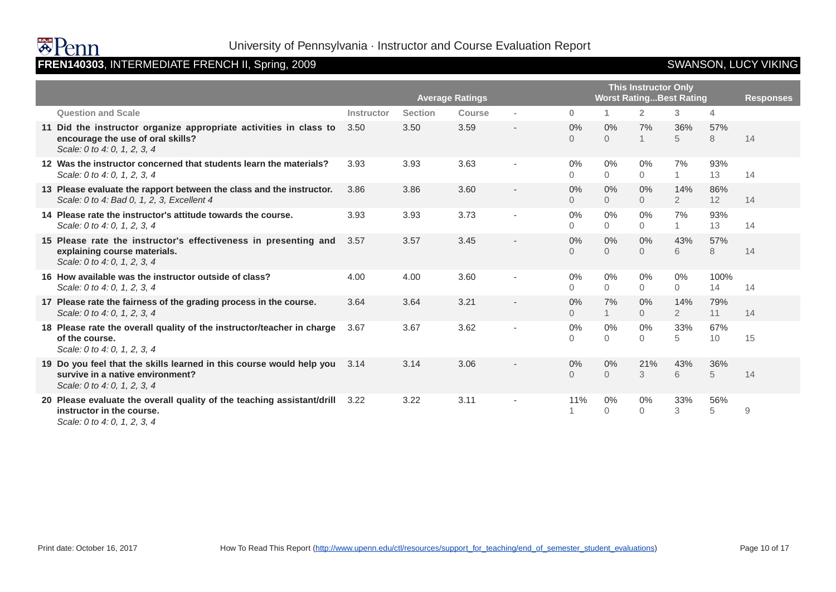

# FREN140303, INTERMEDIATE FRENCH II, Spring, 2009 **SWANSON, LUCY VIKING**

|                                                                                                                                          |                   | <b>Average Ratings</b> |               | <b>Worst RatingBest Rating</b> | <b>This Instructor Only</b> |                         |                         | <b>Responses</b>      |            |    |
|------------------------------------------------------------------------------------------------------------------------------------------|-------------------|------------------------|---------------|--------------------------------|-----------------------------|-------------------------|-------------------------|-----------------------|------------|----|
| <b>Question and Scale</b>                                                                                                                | <b>Instructor</b> | <b>Section</b>         | <b>Course</b> | $\sim$                         | $\mathbf{0}$                |                         | $\overline{2}$          | 3                     | 4          |    |
| 11 Did the instructor organize appropriate activities in class to<br>encourage the use of oral skills?<br>Scale: 0 to 4: 0, 1, 2, 3, 4   | 3.50              | 3.50                   | 3.59          | $\overline{\phantom{a}}$       | 0%<br>$\Omega$              | $0\%$<br>$\overline{0}$ | 7%<br>$\mathbf{1}$      | 36%<br>5              | 57%<br>8   | 14 |
| 12 Was the instructor concerned that students learn the materials?<br>Scale: 0 to 4: 0, 1, 2, 3, 4                                       | 3.93              | 3.93                   | 3.63          | ٠                              | 0%<br>$\Omega$              | $0\%$<br>$\Omega$       | $0\%$<br>$\Omega$       | 7%<br>$\mathbf{1}$    | 93%<br>13  | 14 |
| 13 Please evaluate the rapport between the class and the instructor.<br>Scale: 0 to 4: Bad 0, 1, 2, 3, Excellent 4                       | 3.86              | 3.86                   | 3.60          |                                | 0%<br>0                     | $0\%$<br>$\overline{0}$ | 0%<br>$\overline{0}$    | 14%<br>$\overline{2}$ | 86%<br>12  | 14 |
| 14 Please rate the instructor's attitude towards the course.<br>Scale: 0 to 4: 0, 1, 2, 3, 4                                             | 3.93              | 3.93                   | 3.73          | $\overline{\phantom{a}}$       | 0%<br>0                     | 0%<br>$\Omega$          | $0\%$<br>$\overline{0}$ | 7%                    | 93%<br>13  | 14 |
| 15 Please rate the instructor's effectiveness in presenting and<br>explaining course materials.<br>Scale: 0 to 4: 0, 1, 2, 3, 4          | 3.57              | 3.57                   | 3.45          |                                | 0%<br>$\Omega$              | $0\%$<br>$\Omega$       | 0%<br>$\Omega$          | 43%<br>6              | 57%<br>8   | 14 |
| 16 How available was the instructor outside of class?<br>Scale: 0 to 4: 0, 1, 2, 3, 4                                                    | 4.00              | 4.00                   | 3.60          | $\blacksquare$                 | 0%<br>$\Omega$              | $0\%$<br>0              | $0\%$<br>$\Omega$       | 0%<br>$\Omega$        | 100%<br>14 | 14 |
| 17 Please rate the fairness of the grading process in the course.<br>Scale: 0 to 4: 0, 1, 2, 3, 4                                        | 3.64              | 3.64                   | 3.21          |                                | 0%<br>$\Omega$              | 7%<br>1                 | $0\%$<br>$\Omega$       | 14%<br>$\overline{2}$ | 79%<br>11  | 14 |
| 18 Please rate the overall quality of the instructor/teacher in charge<br>of the course.<br>Scale: 0 to 4: 0, 1, 2, 3, 4                 | 3.67              | 3.67                   | 3.62          | ٠                              | 0%<br>0                     | 0%<br>$\overline{0}$    | $0\%$<br>$\overline{0}$ | 33%<br>5              | 67%<br>10  | 15 |
| 19 Do you feel that the skills learned in this course would help you<br>survive in a native environment?<br>Scale: 0 to 4: 0, 1, 2, 3, 4 | 3.14              | 3.14                   | 3.06          |                                | 0%<br>0                     | 0%<br>$\overline{0}$    | 21%<br>3                | 43%<br>6              | 36%<br>5   | 14 |
| 20 Please evaluate the overall quality of the teaching assistant/drill<br>instructor in the course.<br>Scale: 0 to 4: 0, 1, 2, 3, 4      | 3.22              | 3.22                   | 3.11          |                                | 11%                         | 0%<br>$\mathbf{0}$      | $0\%$<br>$\overline{0}$ | 33%<br>3              | 56%<br>5   | 9  |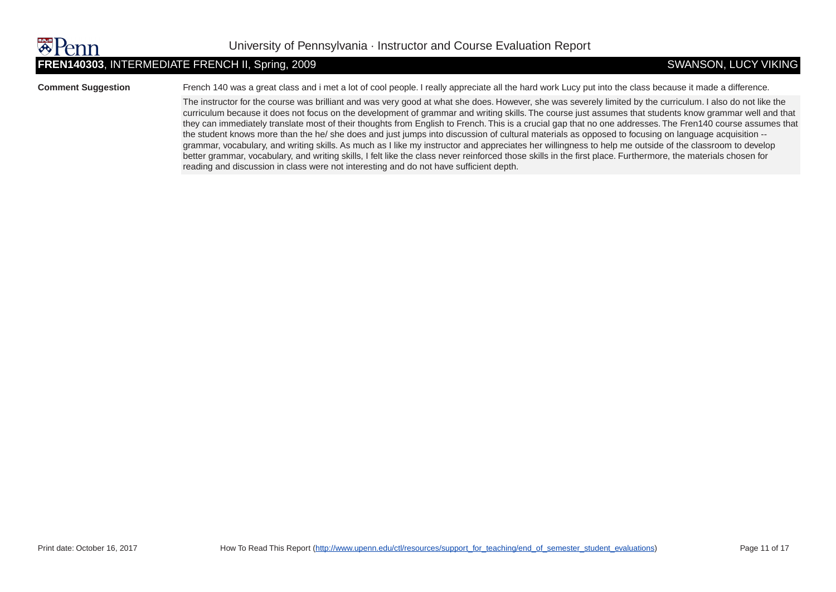### **FREN140303**, INTERMEDIATE FRENCH II, Spring, 2009 SWANSON, LUCY VIKING

**Comment Suggestion** French 140 was a great class and i met a lot of cool people. I really appreciate all the hard work Lucy put into the class because it made a difference.

The instructor for the course was brilliant and was very good at what she does. However, she was severely limited by the curriculum. I also do not like the curriculum because it does not focus on the development of grammar and writing skills. The course just assumes that students know grammar well and that they can immediately translate most of their thoughts from English to French. This is a crucial gap that no one addresses. The Fren140 course assumes that the student knows more than the he/ she does and just jumps into discussion of cultural materials as opposed to focusing on language acquisition - grammar, vocabulary, and writing skills. As much as I like my instructor and appreciates her willingness to help me outside of the classroom to develop better grammar, vocabulary, and writing skills, I felt like the class never reinforced those skills in the first place. Furthermore, the materials chosen for reading and discussion in class were not interesting and do not have sufficient depth.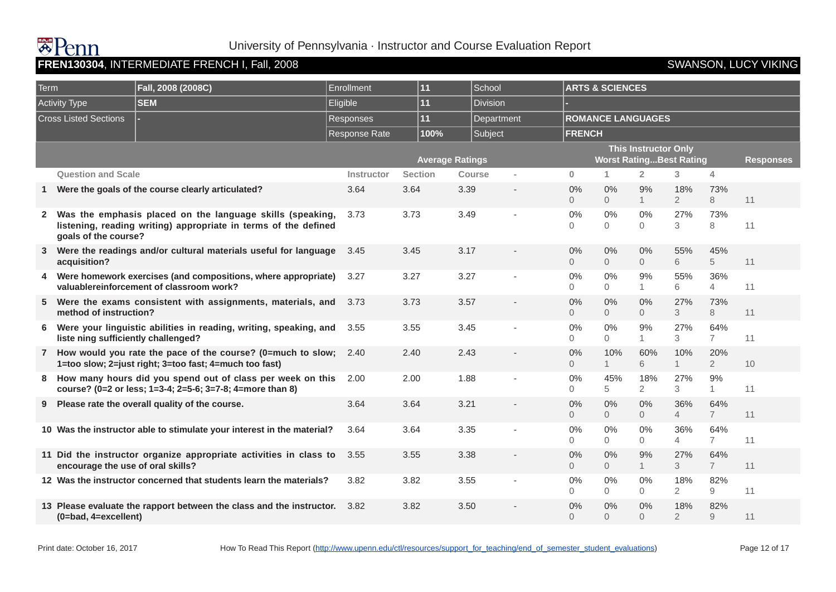## **墨Penn FREN130304**, INTERMEDIATE FRENCH I, Fall, 2008 SWANSON, LUCY VIKING

### University of Pennsylvania · Instructor and Course Evaluation Report

### Term **Fall, 2008 (2008C)** Enrollment **11** School **ARTS & SCIENCES** Activity Type **SEM** Eligible **11** Division **- Cross Listed Sections | Responses | Responses | 11** | Department | ROMANCE LANGUAGES Response Rate **100%** Subject **FRENCH Average Ratings This Instructor Only Worst Rating...Best Rating Fig. 7 Responses Question and Scale Instructor Section Course - 0 1 2 3 4 1 Were the goals of the course clearly articulated?** 3.64 3.64 3.39 - 0% 0 0% 0 9% 1 18% 2 73% 8 11 **2 Was the emphasis placed on the language skills (speaking, listening, reading writing) appropriate in terms of the defined goals of the course?** 3.73 3.73 3.49 - 0%  $\Omega$ 0%  $\Omega$ 0%  $\Omega$ 27% 3 73% 8 11 **3 Were the readings and/or cultural materials useful for language acquisition?** 3.45 3.45 3.17 - 0%  $\Omega$ 0%  $\Omega$ 0%  $\Omega$ 55% 6 45% 5 11 **4 Were homework exercises (and compositions, where appropriate) valuablereinforcement of classroom work?** 3.27 3.27 3.27 - 0%  $\Omega$ 0%  $\Omega$ 9% 1 55% 6 36% 4 11 **5 Were the exams consistent with assignments, materials, and method of instruction?** 3.73 3.73 3.57 - 0% 0 0% 0  $0%$ 0 27% 3 73% 8 11 **6 Were your linguistic abilities in reading, writing, speaking, and liste ning sufficiently challenged?** 3.55 3.55 3.45 - 0%  $\Omega$ 0%  $\Omega$ 9% 1 27% 3 64% 7 11 **7 How would you rate the pace of the course? (0=much to slow; 1=too slow; 2=just right; 3=too fast; 4=much too fast)** 2.40 2.40 2.43 - 0%  $\Omega$ 10% 1 60% 6 10% 1 20% 2 10 **8 How many hours did you spend out of class per week on this course? (0=2 or less; 1=3-4; 2=5-6; 3=7-8; 4=more than 8)** 2.00 2.00 1.88 - 0% 0 45% 5 18% 2 27% 3 9% 1 11 **9 Please rate the overall quality of the course.** 3.64 3.64 3.64 3.21 - 0% 0 0% 0  $0%$  $\Omega$ 36% 4 64% 7 11 **10 Was the instructor able to stimulate your interest in the material?** 3.64 3.64 3.35 - 0%  $\Omega$ 0%  $\Omega$ 0%  $\Omega$ 36% 4 64% 7 11 **11 Did the instructor organize appropriate activities in class to encourage the use of oral skills?** 3.55 3.55 3.38 - 0%  $\Omega$ 0%  $\Omega$ 9% 1 27% 3 64% 7 11 **12** Was the instructor concerned that students learn the materials?  $3.82$   $3.82$   $3.82$   $3.55$   $3.5$  $\Omega$ 0%  $\Omega$ 0%  $\Omega$ 18%  $\mathcal{D}$ 82% 9 11 **13 Please evaluate the rapport between the class and the instructor. (0=bad, 4=excellent)** 3.82 3.82 3.50 - 0% 0 0% 0 0% 0 18% 2 82% 9 11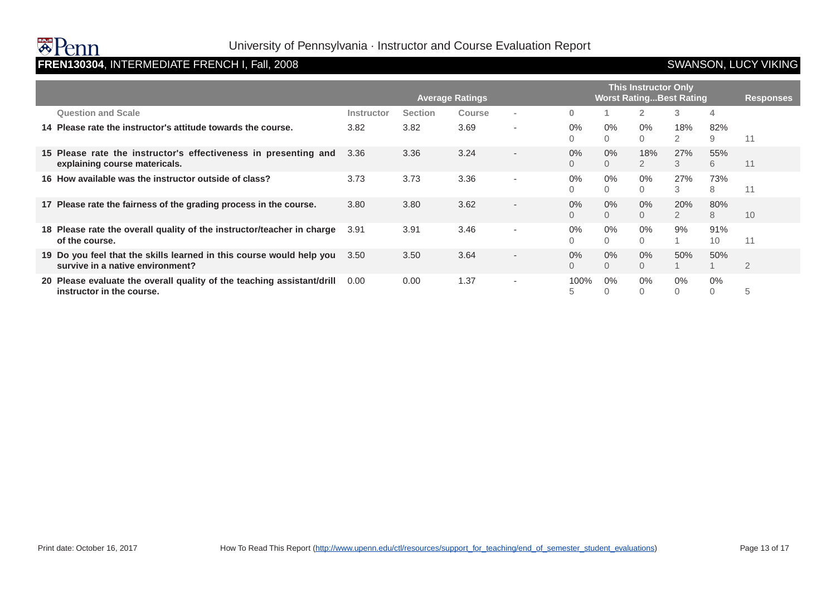### **FREN130304**, INTERMEDIATE FRENCH I, Fall, 2008 SWANSON, LUCY VIKING

|                                                                                                          |            | <b>This Instructor Only</b><br><b>Worst Rating Best Rating</b><br><b>Average Ratings</b><br><b>Responses</b> |               |                          |              |            |                       |                       |                |    |  |
|----------------------------------------------------------------------------------------------------------|------------|--------------------------------------------------------------------------------------------------------------|---------------|--------------------------|--------------|------------|-----------------------|-----------------------|----------------|----|--|
| <b>Question and Scale</b>                                                                                | Instructor | <b>Section</b>                                                                                               | <b>Course</b> | $\overline{\phantom{a}}$ | $\mathbf{0}$ |            |                       | 3                     | 4              |    |  |
| 14 Please rate the instructor's attitude towards the course.                                             | 3.82       | 3.82                                                                                                         | 3.69          | ۰                        | $0\%$<br>0   | $0\%$<br>0 | 0%<br>$\Omega$        | 18%<br>2              | 82%<br>9       | 11 |  |
| 15 Please rate the instructor's effectiveness in presenting and<br>explaining course matericals.         | 3.36       | 3.36                                                                                                         | 3.24          | $\overline{\phantom{0}}$ | 0%<br>0      | $0\%$<br>0 | 18%<br>$\overline{2}$ | 27%<br>3              | 55%<br>6       | 11 |  |
| 16 How available was the instructor outside of class?                                                    | 3.73       | 3.73                                                                                                         | 3.36          | $\overline{\phantom{a}}$ | 0%<br>0      | $0\%$<br>0 | $0\%$<br>$\Omega$     | 27%<br>3              | 73%<br>8       | 11 |  |
| 17 Please rate the fairness of the grading process in the course.                                        | 3.80       | 3.80                                                                                                         | 3.62          | $\overline{\phantom{a}}$ | 0%<br>0      | $0\%$<br>0 | 0%<br>$\Omega$        | 20%<br>$\overline{2}$ | 80%<br>8       | 10 |  |
| 18 Please rate the overall quality of the instructor/teacher in charge<br>of the course.                 | 3.91       | 3.91                                                                                                         | 3.46          | ۰                        | $0\%$<br>0   | $0\%$<br>0 | 0%                    | 9%                    | 91%<br>10      | 11 |  |
| 19 Do you feel that the skills learned in this course would help you<br>survive in a native environment? | 3.50       | 3.50                                                                                                         | 3.64          | $\overline{\phantom{0}}$ | 0%<br>0      | $0\%$<br>0 | 0%<br>$\Omega$        | 50%                   | 50%<br>1       | 2  |  |
| 20 Please evaluate the overall quality of the teaching assistant/drill<br>instructor in the course.      | 0.00       | 0.00                                                                                                         | 1.37          | ٠                        | 100%<br>5    | $0\%$      | 0%                    | $0\%$                 | 0%<br>$\Omega$ | 5  |  |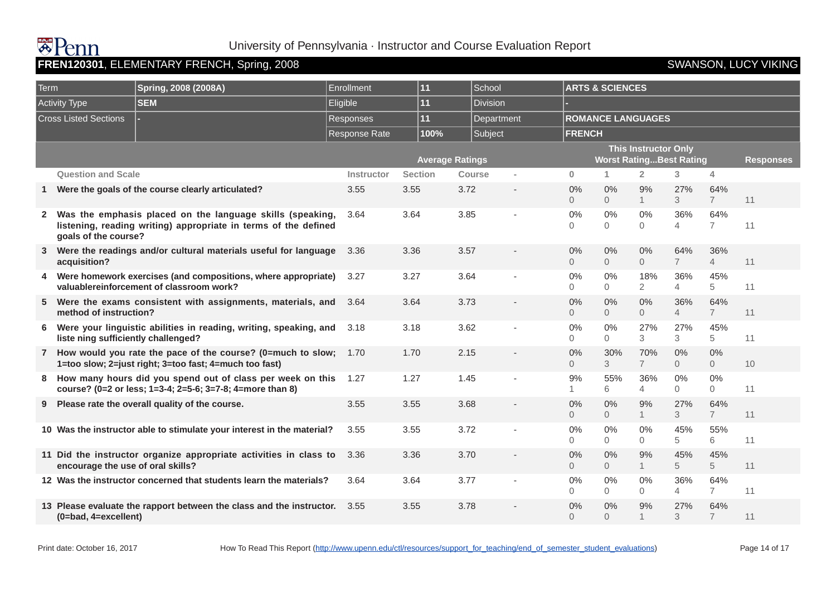# **BAUL**

### University of Pennsylvania · Instructor and Course Evaluation Report

| Term         |                                     | Spring, 2008 (2008A)                                                                                                         | Enrollment           | 11             | School                 |                          |                      | <b>ARTS &amp; SCIENCES</b> |                                                               |                       |                         |                  |
|--------------|-------------------------------------|------------------------------------------------------------------------------------------------------------------------------|----------------------|----------------|------------------------|--------------------------|----------------------|----------------------------|---------------------------------------------------------------|-----------------------|-------------------------|------------------|
|              | <b>Activity Type</b>                | <b>SEM</b>                                                                                                                   | Eligible             | 11             | <b>Division</b>        |                          |                      |                            |                                                               |                       |                         |                  |
|              | <b>Cross Listed Sections</b>        |                                                                                                                              | <b>Responses</b>     | 11             | Department             |                          |                      |                            | <b>ROMANCE LANGUAGES</b>                                      |                       |                         |                  |
|              |                                     |                                                                                                                              | <b>Response Rate</b> | 100%           | Subject                |                          | <b>FRENCH</b>        |                            |                                                               |                       |                         |                  |
|              |                                     |                                                                                                                              |                      |                | <b>Average Ratings</b> |                          |                      |                            | <b>This Instructor Only</b><br><b>Worst RatingBest Rating</b> |                       |                         | <b>Responses</b> |
|              | <b>Question and Scale</b>           |                                                                                                                              | Instructor           | <b>Section</b> | Course                 | i.                       | $\mathbf{0}$         | 1                          | $\overline{2}$                                                | 3                     | $\overline{4}$          |                  |
| $\mathbf{1}$ |                                     | Were the goals of the course clearly articulated?                                                                            | 3.55                 | 3.55           | 3.72                   | $\overline{\phantom{a}}$ | 0%<br>$\Omega$       | 0%<br>$\overline{0}$       | 9%<br>1                                                       | 27%<br>$\mathcal{S}$  | 64%<br>$\overline{7}$   | 11               |
| $2^{\circ}$  | goals of the course?                | Was the emphasis placed on the language skills (speaking,<br>listening, reading writing) appropriate in terms of the defined | 3.64                 | 3.64           | 3.85                   |                          | 0%<br>$\Omega$       | 0%<br>$\overline{0}$       | 0%<br>$\overline{0}$                                          | 36%<br>$\overline{4}$ | 64%<br>$\overline{7}$   | 11               |
| 3            | acquisition?                        | Were the readings and/or cultural materials useful for language                                                              | 3.36                 | 3.36           | 3.57                   |                          | $0\%$<br>$\Omega$    | $0\%$<br>$\overline{0}$    | 0%<br>$\overline{0}$                                          | 64%<br>$\overline{7}$ | 36%<br>$\overline{4}$   | 11               |
|              |                                     | 4 Were homework exercises (and compositions, where appropriate)<br>valuablereinforcement of classroom work?                  | 3.27                 | 3.27           | 3.64                   |                          | 0%<br>0              | $0\%$<br>$\Omega$          | 18%<br>$\overline{2}$                                         | 36%<br>$\overline{4}$ | 45%<br>5                | 11               |
| 5            | method of instruction?              | Were the exams consistent with assignments, materials, and                                                                   | 3.64                 | 3.64           | 3.73                   |                          | 0%<br>$\overline{0}$ | 0%<br>$\overline{0}$       | 0%<br>$\overline{0}$                                          | 36%<br>$\overline{4}$ | 64%<br>$\overline{7}$   | 11               |
| 6            | liste ning sufficiently challenged? | Were your linguistic abilities in reading, writing, speaking, and                                                            | 3.18                 | 3.18           | 3.62                   |                          | 0%<br>$\Omega$       | $0\%$<br>0                 | 27%<br>3                                                      | 27%<br>3              | 45%<br>5                | 11               |
|              |                                     | 7 How would you rate the pace of the course? (0=much to slow;<br>1=too slow; 2=just right; 3=too fast; 4=much too fast)      | 1.70                 | 1.70           | 2.15                   |                          | 0%<br>$\Omega$       | 30%<br>3                   | 70%<br>$\overline{7}$                                         | 0%<br>$\overline{O}$  | $0\%$<br>$\overline{0}$ | 10               |
| 8            |                                     | How many hours did you spend out of class per week on this<br>course? (0=2 or less; 1=3-4; 2=5-6; 3=7-8; 4=more than 8)      | 1.27                 | 1.27           | 1.45                   |                          | 9%<br>$\mathbf{1}$   | 55%<br>6                   | 36%<br>$\overline{4}$                                         | $0\%$<br>$\Omega$     | $0\%$<br>$\Omega$       | 11               |
| 9            |                                     | Please rate the overall quality of the course.                                                                               | 3.55                 | 3.55           | 3.68                   |                          | 0%<br>$\Omega$       | 0%<br>$\overline{0}$       | 9%<br>$\mathbf{1}$                                            | 27%<br>3              | 64%<br>$\overline{7}$   | 11               |
|              |                                     | 10 Was the instructor able to stimulate your interest in the material?                                                       | 3.55                 | 3.55           | 3.72                   | ٠                        | 0%<br>$\Omega$       | 0%<br>$\Omega$             | $0\%$<br>$\Omega$                                             | 45%<br>5              | 55%<br>6                | 11               |
|              | encourage the use of oral skills?   | 11 Did the instructor organize appropriate activities in class to                                                            | 3.36                 | 3.36           | 3.70                   |                          | 0%<br>$\overline{0}$ | 0%<br>$\overline{0}$       | 9%<br>$\mathbf{1}$                                            | 45%<br>5              | 45%<br>5                | 11               |
|              |                                     | 12 Was the instructor concerned that students learn the materials?                                                           | 3.64                 | 3.64           | 3.77                   |                          | 0%<br>$\Omega$       | $0\%$<br>$\overline{0}$    | $0\%$<br>$\overline{0}$                                       | 36%<br>$\overline{4}$ | 64%<br>$\overline{7}$   | 11               |
|              | (0=bad, 4=excellent)                | 13 Please evaluate the rapport between the class and the instructor.                                                         | 3.55                 | 3.55           | 3.78                   |                          | 0%<br>$\Omega$       | 0%<br>$\Omega$             | 9%                                                            | 27%<br>3              | 64%<br>$\overline{7}$   | 11               |

**FRENCH, STARN**<br>R120301, ELEMENTARY FRENCH, Spring, 2008 SWANSON, LUCY VIKING SWANSON, LUCY VIKING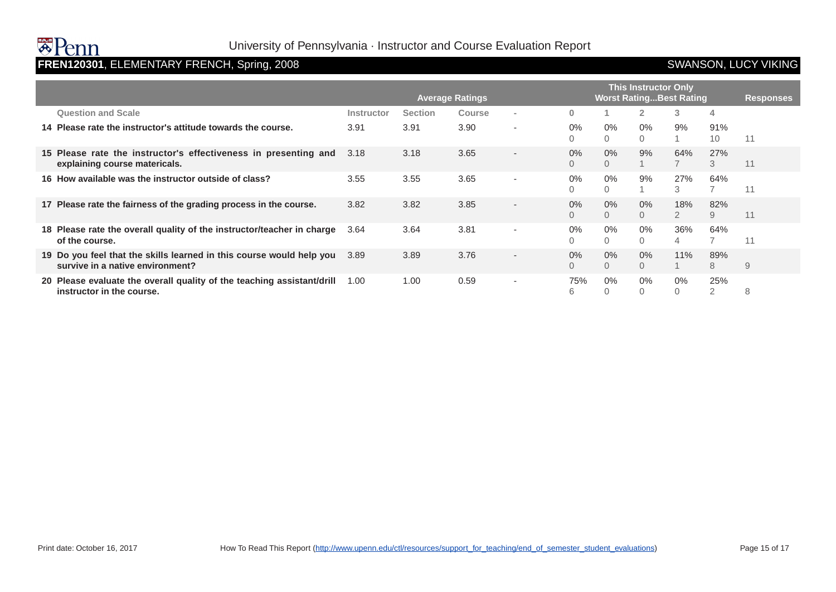# **FREN120301**, ELEMENTARY FRENCH, Spring, 2008 **SWANSON, LUCY VIKING**

|                                                                                                          | <b>This Instructor Only</b><br><b>Worst Rating Best Rating</b><br><b>Average Ratings</b><br><b>Responses</b> |                |               |                          |              |            |                |                       |                       |    |
|----------------------------------------------------------------------------------------------------------|--------------------------------------------------------------------------------------------------------------|----------------|---------------|--------------------------|--------------|------------|----------------|-----------------------|-----------------------|----|
| <b>Question and Scale</b>                                                                                | Instructor                                                                                                   | <b>Section</b> | <b>Course</b> | $\overline{\phantom{a}}$ | $\mathbf{0}$ |            |                | 3                     | 4                     |    |
| 14 Please rate the instructor's attitude towards the course.                                             | 3.91                                                                                                         | 3.91           | 3.90          | ۰                        | $0\%$<br>0   | $0\%$<br>0 | 0%             | 9%                    | 91%<br>10             | 11 |
| 15 Please rate the instructor's effectiveness in presenting and<br>explaining course matericals.         | 3.18                                                                                                         | 3.18           | 3.65          | $\overline{\phantom{0}}$ | 0%<br>0      | $0\%$<br>0 | 9%             | 64%                   | 27%<br>3              | 11 |
| 16 How available was the instructor outside of class?                                                    | 3.55                                                                                                         | 3.55           | 3.65          | $\overline{\phantom{a}}$ | 0%<br>0      | $0\%$<br>0 | 9%             | 27%<br>3              | 64%<br>$\overline{7}$ | 11 |
| 17 Please rate the fairness of the grading process in the course.                                        | 3.82                                                                                                         | 3.82           | 3.85          | $\overline{\phantom{a}}$ | 0%<br>0      | $0\%$<br>0 | 0%<br>$\Omega$ | 18%<br>$\overline{2}$ | 82%<br>9              | 11 |
| 18 Please rate the overall quality of the instructor/teacher in charge<br>of the course.                 | 3.64                                                                                                         | 3.64           | 3.81          | $\overline{\phantom{a}}$ | $0\%$<br>0   | $0\%$<br>0 | 0%<br>$\Omega$ | 36%<br>4              | 64%<br>$\overline{7}$ | 11 |
| 19 Do you feel that the skills learned in this course would help you<br>survive in a native environment? | 3.89                                                                                                         | 3.89           | 3.76          | $\overline{\phantom{0}}$ | 0%<br>0      | $0\%$<br>0 | 0%<br>$\Omega$ | 11%                   | 89%<br>8              | 9  |
| 20 Please evaluate the overall quality of the teaching assistant/drill<br>instructor in the course.      | 1.00                                                                                                         | 1.00           | 0.59          | ۰                        | 75%<br>6     | $0\%$      | 0%             | $0\%$                 | 25%<br>$\overline{2}$ | 8  |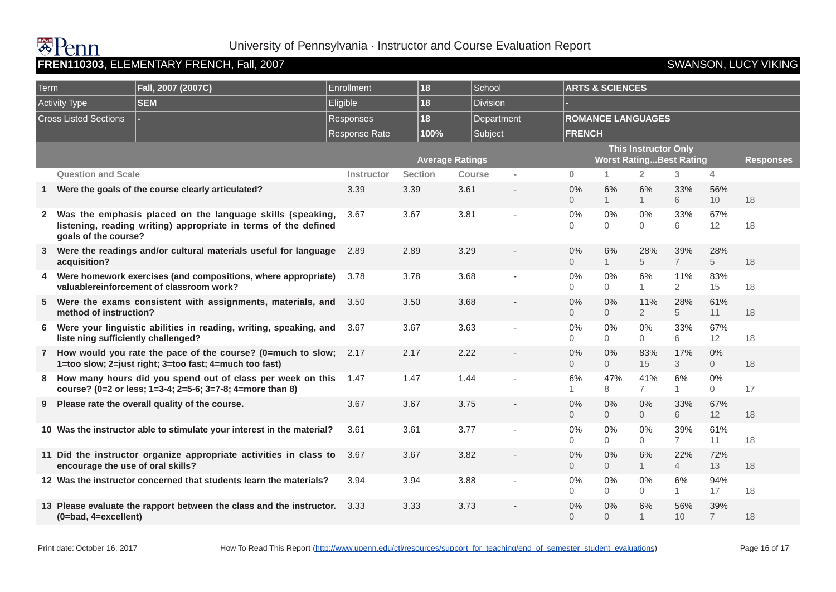### FREN110303, ELEMENTARY FRENCH, Fall, 2007 **SWANSON, LUCY VIKING**

| Term         |                                     | Fall, 2007 (2007C)                                                                                                           | <b>Enrollment</b> | 18             |                        | School                  |                      | <b>ARTS &amp; SCIENCES</b>     |                             |                        |                         |                  |
|--------------|-------------------------------------|------------------------------------------------------------------------------------------------------------------------------|-------------------|----------------|------------------------|-------------------------|----------------------|--------------------------------|-----------------------------|------------------------|-------------------------|------------------|
|              | <b>Activity Type</b>                | <b>SEM</b>                                                                                                                   | Eligible          | 18             |                        | <b>Division</b>         |                      |                                |                             |                        |                         |                  |
|              | <b>Cross Listed Sections</b>        |                                                                                                                              | <b>Responses</b>  | 18             |                        | Department              |                      | <b>ROMANCE LANGUAGES</b>       |                             |                        |                         |                  |
|              |                                     |                                                                                                                              | Response Rate     |                | 100%                   | Subject                 | <b>FRENCH</b>        |                                |                             |                        |                         |                  |
|              |                                     |                                                                                                                              |                   |                | <b>Average Ratings</b> |                         |                      | <b>Worst RatingBest Rating</b> | <b>This Instructor Only</b> |                        |                         | <b>Responses</b> |
|              | <b>Question and Scale</b>           |                                                                                                                              | Instructor        | <b>Section</b> |                        | <b>Course</b><br>$\sim$ | $\mathbf{0}$         | $\mathbf{1}$                   | $\overline{2}$              | 3 <sup>1</sup>         | 4                       |                  |
| -1           |                                     | Were the goals of the course clearly articulated?                                                                            | 3.39              | 3.39           | 3.61                   |                         | 0%<br>$\Omega$       | 6%<br>$\mathbf{1}$             | 6%<br>$\mathbf{1}$          | 33%<br>6               | 56%<br>10               | 18               |
| $\mathbf{2}$ | goals of the course?                | Was the emphasis placed on the language skills (speaking,<br>listening, reading writing) appropriate in terms of the defined | 3.67              | 3.67           | 3.81                   |                         | 0%<br>$\Omega$       | 0%<br>$\Omega$                 | 0%<br>0                     | 33%<br>6               | 67%<br>12               | 18               |
| 3            | acquisition?                        | Were the readings and/or cultural materials useful for language                                                              | 2.89              | 2.89           | 3.29                   |                         | 0%<br>$\Omega$       | 6%<br>1                        | 28%<br>5                    | 39%<br>$7\overline{ }$ | 28%<br>5                | 18               |
| 4            |                                     | Were homework exercises (and compositions, where appropriate)<br>valuablereinforcement of classroom work?                    | 3.78              | 3.78           | 3.68                   |                         | 0%<br>$\Omega$       | $0\%$<br>$\Omega$              | 6%<br>$\mathbf{1}$          | 11%<br>$\overline{2}$  | 83%<br>15               | 18               |
| 5.           | method of instruction?              | Were the exams consistent with assignments, materials, and                                                                   | 3.50              | 3.50           | 3.68                   |                         | 0%<br>$\overline{0}$ | 0%<br>$\overline{0}$           | 11%<br>$\overline{2}$       | 28%<br>5               | 61%<br>11               | 18               |
| 6            | liste ning sufficiently challenged? | Were your linguistic abilities in reading, writing, speaking, and                                                            | 3.67              | 3.67           | 3.63                   |                         | 0%<br>0              | $0\%$<br>$\Omega$              | $0\%$<br>$\overline{0}$     | 33%<br>6               | 67%<br>12               | 18               |
|              |                                     | 7 How would you rate the pace of the course? (0=much to slow;<br>1=too slow; 2=just right; 3=too fast; 4=much too fast)      | 2.17              | 2.17           | 2.22                   |                         | 0%<br>$\overline{0}$ | 0%<br>$\overline{0}$           | 83%<br>15                   | 17%<br>3               | $0\%$<br>$\overline{0}$ | 18               |
| 8            |                                     | How many hours did you spend out of class per week on this<br>course? (0=2 or less; 1=3-4; 2=5-6; 3=7-8; 4=more than 8)      | 1.47              | 1.47           | 1.44                   |                         | 6%<br>1              | 47%<br>8                       | 41%<br>7                    | 6%<br>1                | $0\%$<br>$\Omega$       | 17               |
| 9            |                                     | Please rate the overall quality of the course.                                                                               | 3.67              | 3.67           | 3.75                   |                         | 0%<br>$\Omega$       | 0%<br>$\overline{0}$           | 0%<br>$\Omega$              | 33%<br>6               | 67%<br>12               | 18               |
|              |                                     | 10 Was the instructor able to stimulate your interest in the material?                                                       | 3.61              | 3.61           | 3.77                   |                         | 0%<br>0              | 0%<br>$\Omega$                 | $0\%$<br>$\Omega$           | 39%<br>$\overline{7}$  | 61%<br>11               | 18               |
|              | encourage the use of oral skills?   | 11 Did the instructor organize appropriate activities in class to                                                            | 3.67              | 3.67           | 3.82                   |                         | 0%<br>$\Omega$       | 0%<br>$\overline{0}$           | 6%<br>1                     | 22%<br>$\overline{4}$  | 72%<br>13               | 18               |
|              |                                     | 12 Was the instructor concerned that students learn the materials?                                                           | 3.94              | 3.94           | 3.88                   |                         | 0%<br>$\Omega$       | 0%<br>$\Omega$                 | 0%<br>0                     | 6%<br>1                | 94%<br>17               | 18               |
|              | (0=bad, 4=excellent)                | 13 Please evaluate the rapport between the class and the instructor.                                                         | 3.33              | 3.33           | 3.73                   |                         | 0%<br>$\Omega$       | 0%<br>$\overline{0}$           | 6%<br>$\overline{1}$        | 56%<br>10              | 39%<br>$\overline{7}$   | 18               |